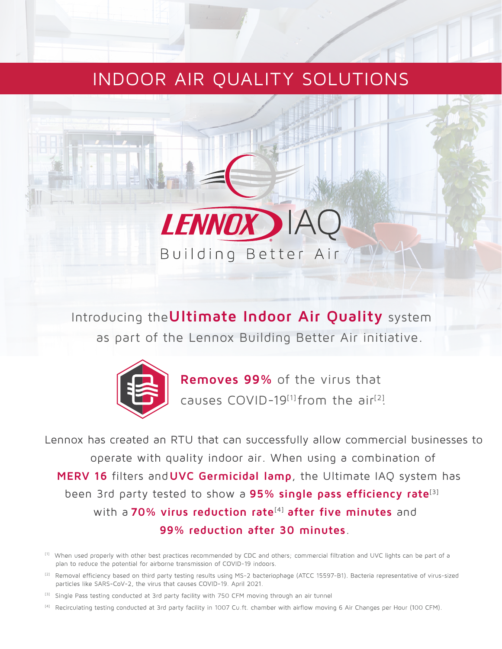## INDOOR AIR QUALITY SOLUTIONS



Introducing the**Ultimate Indoor Air Quality** system as part of the Lennox Building Better Air initiative.



**Removes 99%** of the virus that causes COVID-19<sup>[1]</sup> from the air<sup>[2]</sup>.

Lennox has created an RTU that can successfully allow commercial businesses to operate with quality indoor air. When using a combination of **MERV 16** filters and**UVC Germicidal lamp**, the Ultimate IAQ system has been 3rd party tested to show a **95% single pass efficiency rate**[3] with a 70% virus reduction rate<sup>[4]</sup> after five minutes and **99% reduction after 30 minutes**.

- [2] Removal efficiency based on third party testing results using MS-2 bacteriophage (ATCC 15597-B1). Bacteria representative of virus-sized particles like SARS-CoV-2, the virus that causes COVID-19. April 2021.
- [3] Single Pass testing conducted at 3rd party facility with 750 CFM moving through an air tunnel
- [4] Recirculating testing conducted at 3rd party facility in 1007 Cu.ft. chamber with airflow moving 6 Air Changes per Hour (100 CFM).

<sup>[1]</sup> When used properly with other best practices recommended by CDC and others; commercial filtration and UVC lights can be part of a plan to reduce the potential for airborne transmission of COVID-19 indoors.